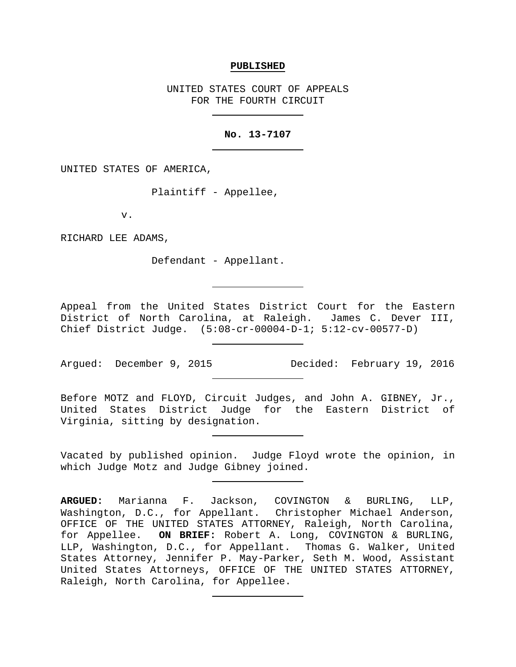#### **PUBLISHED**

UNITED STATES COURT OF APPEALS FOR THE FOURTH CIRCUIT

## **No. 13-7107**

UNITED STATES OF AMERICA,

Plaintiff - Appellee,

v.

RICHARD LEE ADAMS,

Defendant - Appellant.

Appeal from the United States District Court for the Eastern District of North Carolina, at Raleigh. James C. Dever III, Chief District Judge. (5:08-cr-00004-D-1; 5:12-cv-00577-D)

Argued: December 9, 2015 Decided: February 19, 2016

Before MOTZ and FLOYD, Circuit Judges, and John A. GIBNEY, Jr., United States District Judge for the Eastern District of Virginia, sitting by designation.

Vacated by published opinion. Judge Floyd wrote the opinion, in which Judge Motz and Judge Gibney joined.

**ARGUED:** Marianna F. Jackson, COVINGTON & BURLING, LLP, Washington, D.C., for Appellant. Christopher Michael Anderson, OFFICE OF THE UNITED STATES ATTORNEY, Raleigh, North Carolina, for Appellee. **ON BRIEF:** Robert A. Long, COVINGTON & BURLING, LLP, Washington, D.C., for Appellant. Thomas G. Walker, United States Attorney, Jennifer P. May-Parker, Seth M. Wood, Assistant United States Attorneys, OFFICE OF THE UNITED STATES ATTORNEY, Raleigh, North Carolina, for Appellee.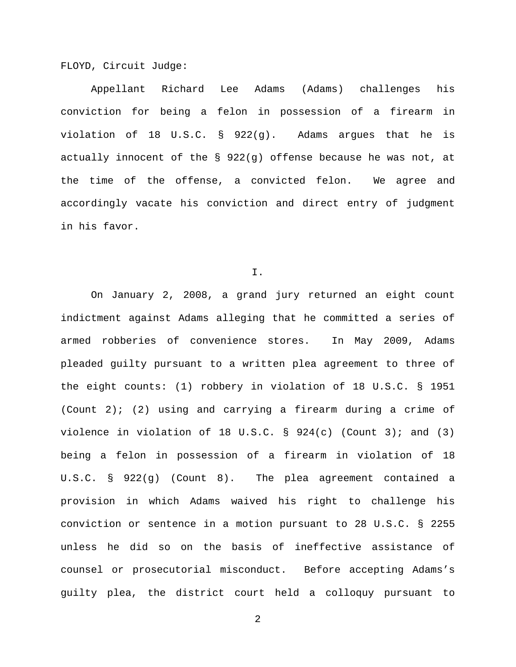FLOYD, Circuit Judge:

Appellant Richard Lee Adams (Adams) challenges his conviction for being a felon in possession of a firearm in violation of 18 U.S.C.  $\S$  922(q). Adams argues that he is actually innocent of the  $\S$  922(g) offense because he was not, at the time of the offense, a convicted felon. We agree and accordingly vacate his conviction and direct entry of judgment in his favor.

I.

On January 2, 2008, a grand jury returned an eight count indictment against Adams alleging that he committed a series of armed robberies of convenience stores. In May 2009, Adams pleaded guilty pursuant to a written plea agreement to three of the eight counts: (1) robbery in violation of 18 U.S.C. § 1951 (Count 2); (2) using and carrying a firearm during a crime of violence in violation of 18 U.S.C.  $\S$  924(c) (Count 3); and (3) being a felon in possession of a firearm in violation of 18 U.S.C. § 922(g) (Count 8). The plea agreement contained a provision in which Adams waived his right to challenge his conviction or sentence in a motion pursuant to 28 U.S.C. § 2255 unless he did so on the basis of ineffective assistance of counsel or prosecutorial misconduct. Before accepting Adams's guilty plea, the district court held a colloquy pursuant to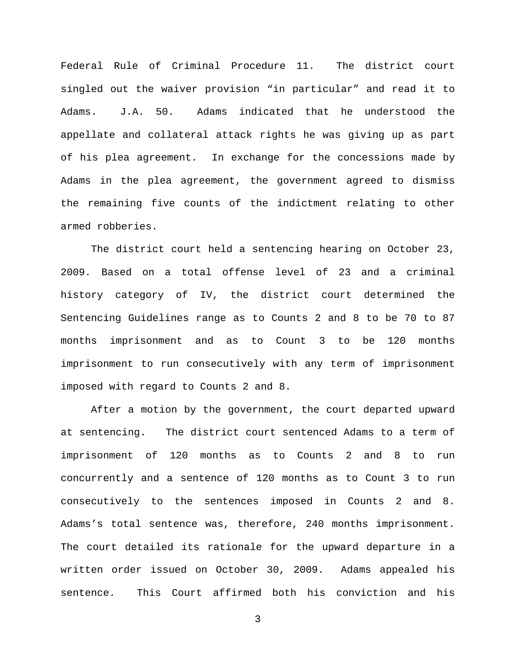Federal Rule of Criminal Procedure 11. The district court singled out the waiver provision "in particular" and read it to Adams. J.A. 50. Adams indicated that he understood the appellate and collateral attack rights he was giving up as part of his plea agreement. In exchange for the concessions made by Adams in the plea agreement, the government agreed to dismiss the remaining five counts of the indictment relating to other armed robberies.

The district court held a sentencing hearing on October 23, 2009. Based on a total offense level of 23 and a criminal history category of IV, the district court determined the Sentencing Guidelines range as to Counts 2 and 8 to be 70 to 87 months imprisonment and as to Count 3 to be 120 months imprisonment to run consecutively with any term of imprisonment imposed with regard to Counts 2 and 8.

After a motion by the government, the court departed upward at sentencing. The district court sentenced Adams to a term of imprisonment of 120 months as to Counts 2 and 8 to run concurrently and a sentence of 120 months as to Count 3 to run consecutively to the sentences imposed in Counts 2 and 8. Adams's total sentence was, therefore, 240 months imprisonment. The court detailed its rationale for the upward departure in a written order issued on October 30, 2009. Adams appealed his sentence. This Court affirmed both his conviction and his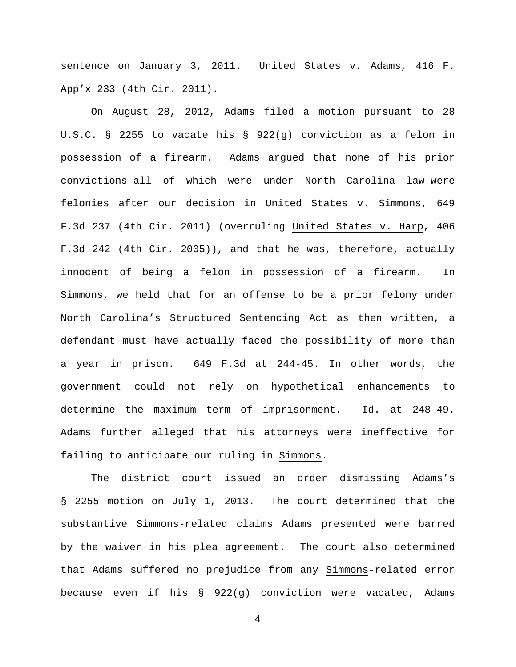sentence on January 3, 2011. United States v. Adams, 416 F. App'x 233 (4th Cir. 2011).

On August 28, 2012, Adams filed a motion pursuant to 28 U.S.C. § 2255 to vacate his § 922(g) conviction as a felon in possession of a firearm. Adams argued that none of his prior convictions—all of which were under North Carolina law—were felonies after our decision in United States v. Simmons, 649 F.3d 237 (4th Cir. 2011) (overruling United States v. Harp, 406 F.3d 242 (4th Cir. 2005)), and that he was, therefore, actually innocent of being a felon in possession of a firearm. In Simmons, we held that for an offense to be a prior felony under North Carolina's Structured Sentencing Act as then written, a defendant must have actually faced the possibility of more than a year in prison. 649 F.3d at 244-45. In other words, the government could not rely on hypothetical enhancements to determine the maximum term of imprisonment. Id. at 248-49. Adams further alleged that his attorneys were ineffective for failing to anticipate our ruling in Simmons.

The district court issued an order dismissing Adams's § 2255 motion on July 1, 2013. The court determined that the substantive Simmons-related claims Adams presented were barred by the waiver in his plea agreement. The court also determined that Adams suffered no prejudice from any Simmons-related error because even if his § 922(g) conviction were vacated, Adams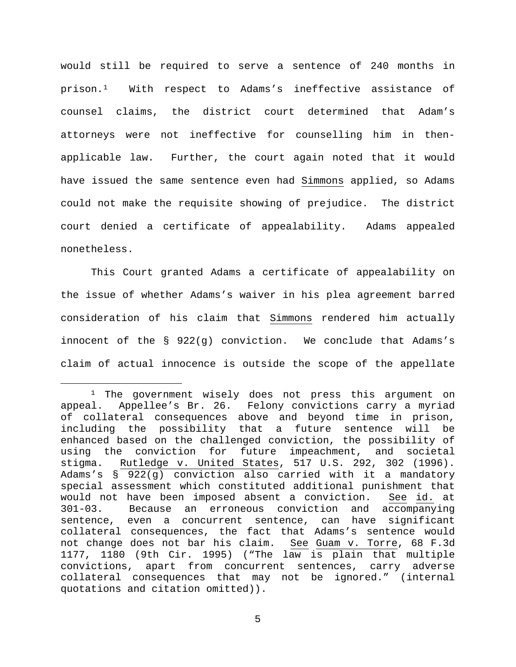would still be required to serve a sentence of 240 months in prison.[1](#page-4-0) With respect to Adams's ineffective assistance of counsel claims, the district court determined that Adam's attorneys were not ineffective for counselling him in thenapplicable law. Further, the court again noted that it would have issued the same sentence even had Simmons applied, so Adams could not make the requisite showing of prejudice. The district court denied a certificate of appealability. Adams appealed nonetheless.

This Court granted Adams a certificate of appealability on the issue of whether Adams's waiver in his plea agreement barred consideration of his claim that Simmons rendered him actually innocent of the § 922(g) conviction. We conclude that Adams's claim of actual innocence is outside the scope of the appellate

<span id="page-4-0"></span><sup>&</sup>lt;sup>1</sup> The government wisely does not press this argument on appeal. Appellee's Br. 26. Felony convictions carry a myriad of collateral consequences above and beyond time in prison, including the possibility that a future sentence will be enhanced based on the challenged conviction, the possibility of using the conviction for future impeachment, and societal<br>stigma. Rutledge v. United States, 517 U.S. 292, 302 (1996). Rutledge v. United States, 517 U.S. 292, 302 (1996). Adams's § 922(g) conviction also carried with it a mandatory special assessment which constituted additional punishment that<br>would not have been imposed absent a conviction. See id. at would not have been imposed absent a conviction. 301-03. Because an erroneous conviction and accompanying sentence, even a concurrent sentence, can have significant collateral consequences, the fact that Adams's sentence would not change does not bar his claim. See Guam v. Torre, 68 F.3d 1177, 1180 (9th Cir. 1995) ("The law is plain that multiple convictions, apart from concurrent sentences, carry adverse collateral consequences that may not be ignored." (internal quotations and citation omitted)).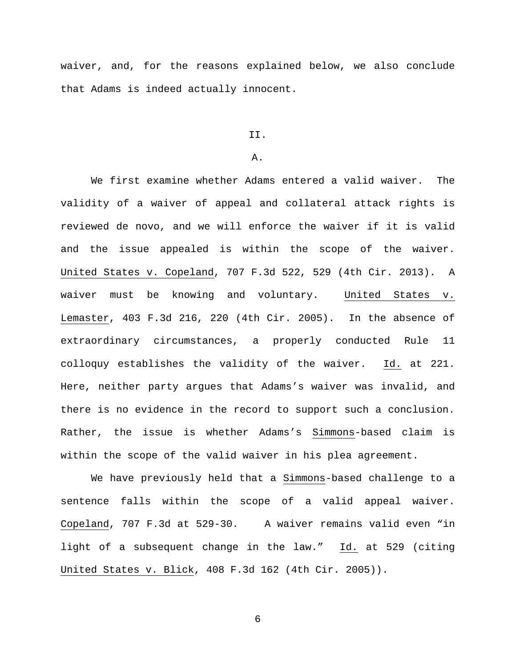waiver, and, for the reasons explained below, we also conclude that Adams is indeed actually innocent.

### II.

## A.

We first examine whether Adams entered a valid waiver. The validity of a waiver of appeal and collateral attack rights is reviewed de novo, and we will enforce the waiver if it is valid and the issue appealed is within the scope of the waiver. United States v. Copeland, 707 F.3d 522, 529 (4th Cir. 2013). A waiver must be knowing and voluntary. United States v. Lemaster, 403 F.3d 216, 220 (4th Cir. 2005). In the absence of extraordinary circumstances, a properly conducted Rule 11 colloquy establishes the validity of the waiver. Id. at 221. Here, neither party argues that Adams's waiver was invalid, and there is no evidence in the record to support such a conclusion. Rather, the issue is whether Adams's Simmons-based claim is within the scope of the valid waiver in his plea agreement.

We have previously held that a Simmons-based challenge to a sentence falls within the scope of a valid appeal waiver. Copeland, 707 F.3d at 529-30. A waiver remains valid even "in light of a subsequent change in the law." Id. at 529 (citing United States v. Blick, 408 F.3d 162 (4th Cir. 2005)).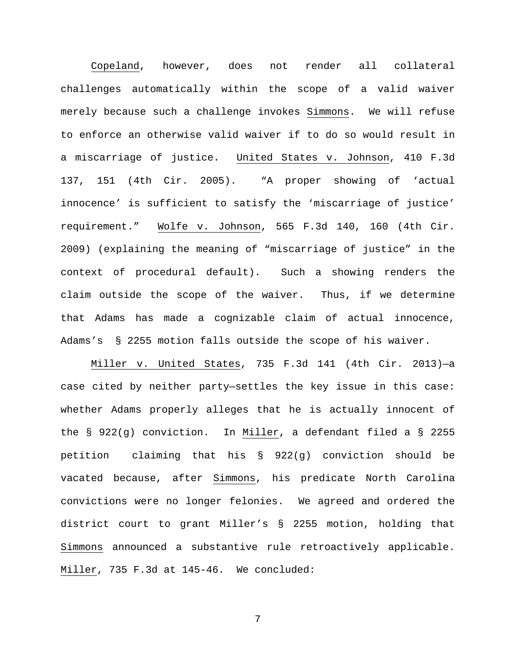Copeland, however, does not render all collateral challenges automatically within the scope of a valid waiver merely because such a challenge invokes Simmons. We will refuse to enforce an otherwise valid waiver if to do so would result in a miscarriage of justice. United States v. Johnson, 410 F.3d 137, 151 (4th Cir. 2005). "A proper showing of 'actual innocence' is sufficient to satisfy the 'miscarriage of justice' requirement." Wolfe v. Johnson, 565 F.3d 140, 160 (4th Cir. 2009) (explaining the meaning of "miscarriage of justice" in the context of procedural default). Such a showing renders the claim outside the scope of the waiver. Thus, if we determine that Adams has made a cognizable claim of actual innocence, Adams's § 2255 motion falls outside the scope of his waiver.

Miller v. United States, 735 F.3d 141 (4th Cir. 2013)—a case cited by neither party—settles the key issue in this case: whether Adams properly alleges that he is actually innocent of the § 922(g) conviction. In Miller, a defendant filed a § 2255 petition claiming that his § 922(g) conviction should be vacated because, after Simmons, his predicate North Carolina convictions were no longer felonies. We agreed and ordered the district court to grant Miller's § 2255 motion, holding that Simmons announced a substantive rule retroactively applicable. Miller, 735 F.3d at 145-46. We concluded: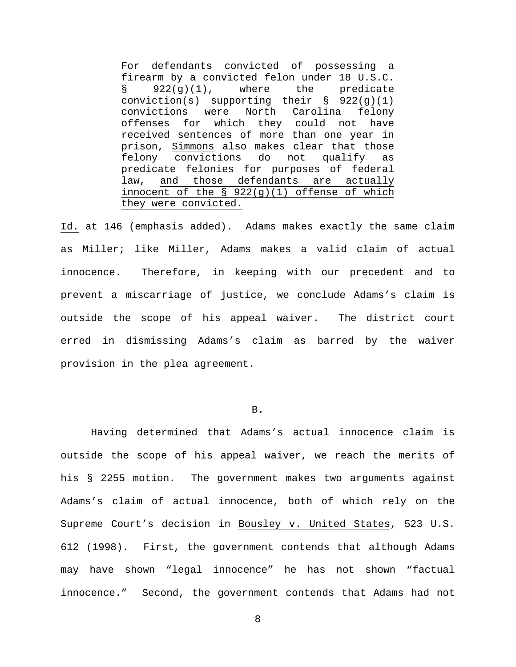For defendants convicted of possessing a firearm by a convicted felon under 18 U.S.C.<br>  $\S$  922(g)(1), where the predicate  $\S$  922(q)(1), where the predicate conviction(s) supporting their § 922(g)(1) convictions were North Carolina felony offenses for which they could not have received sentences of more than one year in prison, Simmons also makes clear that those felony convictions do not qualify as predicate felonies for purposes of federal law, and those defendants are actually innocent of the § 922(g)(1) offense of which they were convicted.

Id. at 146 (emphasis added). Adams makes exactly the same claim as Miller; like Miller, Adams makes a valid claim of actual innocence. Therefore, in keeping with our precedent and to prevent a miscarriage of justice, we conclude Adams's claim is outside the scope of his appeal waiver. The district court erred in dismissing Adams's claim as barred by the waiver provision in the plea agreement.

B.

Having determined that Adams's actual innocence claim is outside the scope of his appeal waiver, we reach the merits of his § 2255 motion. The government makes two arguments against Adams's claim of actual innocence, both of which rely on the Supreme Court's decision in Bousley v. United States, 523 U.S. 612 (1998). First, the government contends that although Adams may have shown "legal innocence" he has not shown "factual innocence." Second, the government contends that Adams had not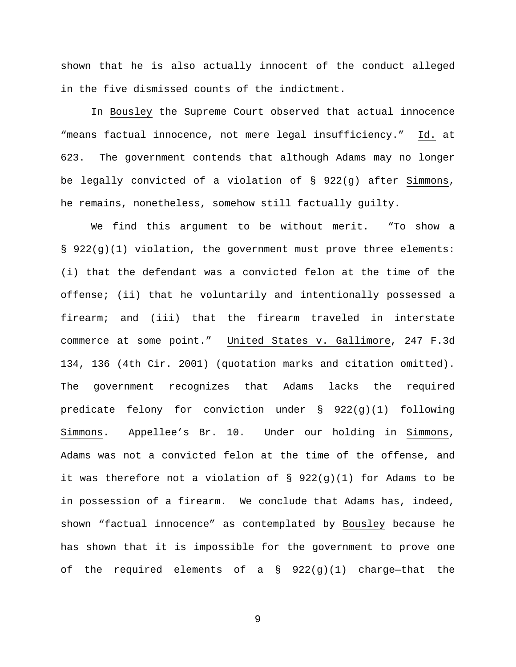shown that he is also actually innocent of the conduct alleged in the five dismissed counts of the indictment.

In Bousley the Supreme Court observed that actual innocence "means factual innocence, not mere legal insufficiency." Id. at 623. The government contends that although Adams may no longer be legally convicted of a violation of § 922(g) after Simmons, he remains, nonetheless, somehow still factually guilty.

We find this argument to be without merit. "To show a § 922(g)(1) violation, the government must prove three elements: (i) that the defendant was a convicted felon at the time of the offense; (ii) that he voluntarily and intentionally possessed a firearm; and (iii) that the firearm traveled in interstate commerce at some point." United States v. Gallimore, 247 F.3d 134, 136 (4th Cir. 2001) (quotation marks and citation omitted). The government recognizes that Adams lacks the required predicate felony for conviction under § 922(g)(1) following Simmons. Appellee's Br. 10. Under our holding in Simmons, Adams was not a convicted felon at the time of the offense, and it was therefore not a violation of  $\S$  922(g)(1) for Adams to be in possession of a firearm. We conclude that Adams has, indeed, shown "factual innocence" as contemplated by Bousley because he has shown that it is impossible for the government to prove one of the required elements of a  $\S$  922(g)(1) charge-that the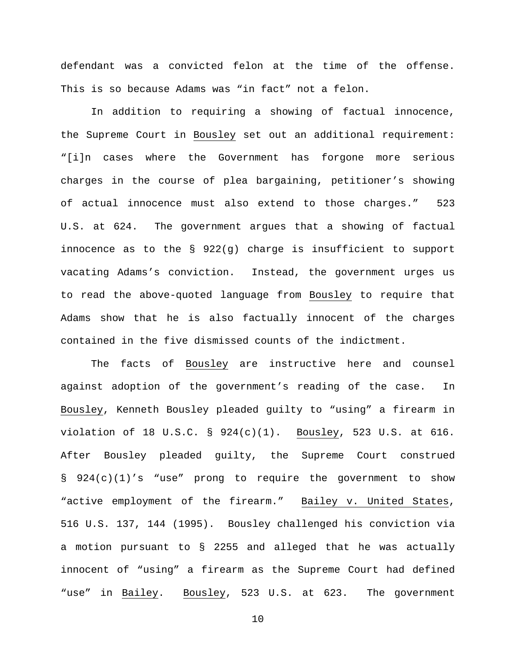defendant was a convicted felon at the time of the offense. This is so because Adams was "in fact" not a felon.

In addition to requiring a showing of factual innocence, the Supreme Court in Bousley set out an additional requirement: "[i]n cases where the Government has forgone more serious charges in the course of plea bargaining, petitioner's showing of actual innocence must also extend to those charges." 523 U.S. at 624. The government argues that a showing of factual innocence as to the § 922(g) charge is insufficient to support vacating Adams's conviction. Instead, the government urges us to read the above-quoted language from Bousley to require that Adams show that he is also factually innocent of the charges contained in the five dismissed counts of the indictment.

The facts of Bousley are instructive here and counsel against adoption of the government's reading of the case. In Bousley, Kenneth Bousley pleaded guilty to "using" a firearm in violation of 18 U.S.C. § 924(c)(1). Bousley, 523 U.S. at 616. After Bousley pleaded guilty, the Supreme Court construed § 924(c)(1)'s "use" prong to require the government to show "active employment of the firearm." Bailey v. United States, 516 U.S. 137, 144 (1995). Bousley challenged his conviction via a motion pursuant to § 2255 and alleged that he was actually innocent of "using" a firearm as the Supreme Court had defined "use" in Bailey. Bousley, 523 U.S. at 623. The government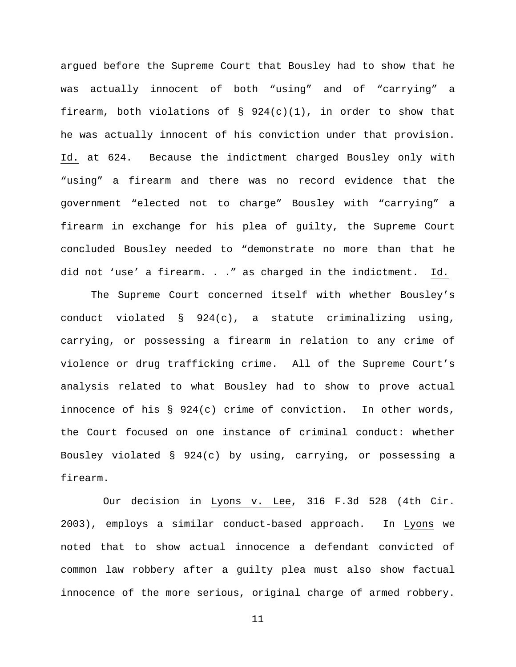argued before the Supreme Court that Bousley had to show that he was actually innocent of both "using" and of "carrying" a firearm, both violations of  $\S$  924(c)(1), in order to show that he was actually innocent of his conviction under that provision. Id. at 624. Because the indictment charged Bousley only with "using" a firearm and there was no record evidence that the government "elected not to charge" Bousley with "carrying" a firearm in exchange for his plea of guilty, the Supreme Court concluded Bousley needed to "demonstrate no more than that he did not 'use' a firearm. . ." as charged in the indictment. Id.

The Supreme Court concerned itself with whether Bousley's conduct violated  $\S$  924(c), a statute criminalizing using, carrying, or possessing a firearm in relation to any crime of violence or drug trafficking crime. All of the Supreme Court's analysis related to what Bousley had to show to prove actual innocence of his § 924(c) crime of conviction. In other words, the Court focused on one instance of criminal conduct: whether Bousley violated § 924(c) by using, carrying, or possessing a firearm.

 Our decision in Lyons v. Lee, 316 F.3d 528 (4th Cir. 2003), employs a similar conduct-based approach. In Lyons we noted that to show actual innocence a defendant convicted of common law robbery after a guilty plea must also show factual innocence of the more serious, original charge of armed robbery.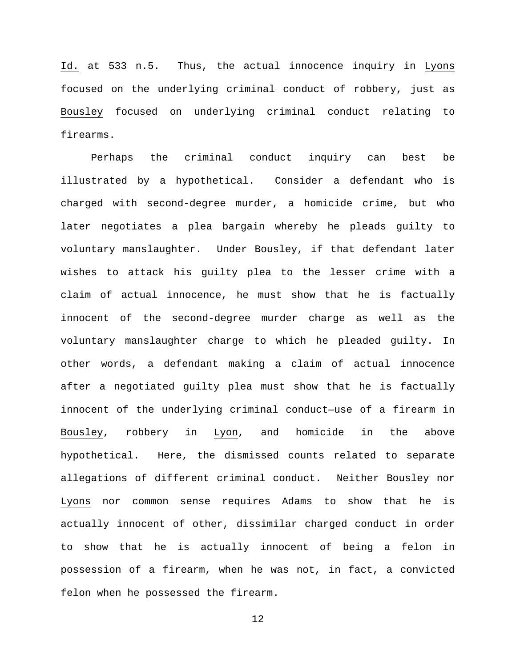Id. at 533 n.5. Thus, the actual innocence inquiry in Lyons focused on the underlying criminal conduct of robbery, just as Bousley focused on underlying criminal conduct relating to firearms.

Perhaps the criminal conduct inquiry can best be illustrated by a hypothetical. Consider a defendant who is charged with second-degree murder, a homicide crime, but who later negotiates a plea bargain whereby he pleads guilty to voluntary manslaughter. Under Bousley, if that defendant later wishes to attack his guilty plea to the lesser crime with a claim of actual innocence, he must show that he is factually innocent of the second-degree murder charge as well as the voluntary manslaughter charge to which he pleaded guilty. In other words, a defendant making a claim of actual innocence after a negotiated guilty plea must show that he is factually innocent of the underlying criminal conduct—use of a firearm in Bousley, robbery in Lyon, and homicide in the above hypothetical. Here, the dismissed counts related to separate allegations of different criminal conduct. Neither Bousley nor Lyons nor common sense requires Adams to show that he is actually innocent of other, dissimilar charged conduct in order to show that he is actually innocent of being a felon in possession of a firearm, when he was not, in fact, a convicted felon when he possessed the firearm.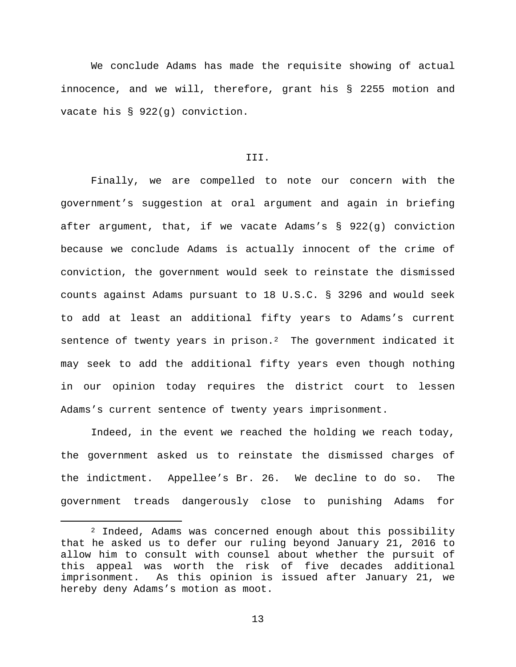We conclude Adams has made the requisite showing of actual innocence, and we will, therefore, grant his § 2255 motion and vacate his § 922(g) conviction.

# III.

Finally, we are compelled to note our concern with the government's suggestion at oral argument and again in briefing after argument, that, if we vacate Adams's § 922(g) conviction because we conclude Adams is actually innocent of the crime of conviction, the government would seek to reinstate the dismissed counts against Adams pursuant to 18 U.S.C. § 3296 and would seek to add at least an additional fifty years to Adams's current sentence of twenty years in prison. $2$  The government indicated it may seek to add the additional fifty years even though nothing in our opinion today requires the district court to lessen Adams's current sentence of twenty years imprisonment.

Indeed, in the event we reached the holding we reach today, the government asked us to reinstate the dismissed charges of the indictment. Appellee's Br. 26. We decline to do so. The government treads dangerously close to punishing Adams for

<span id="page-12-0"></span><sup>&</sup>lt;sup>2</sup> Indeed, Adams was concerned enough about this possibility that he asked us to defer our ruling beyond January 21, 2016 to allow him to consult with counsel about whether the pursuit of this appeal was worth the risk of five decades additional<br>imprisonment. As this opinion is issued after January 21, we As this opinion is issued after January 21, we hereby deny Adams's motion as moot.